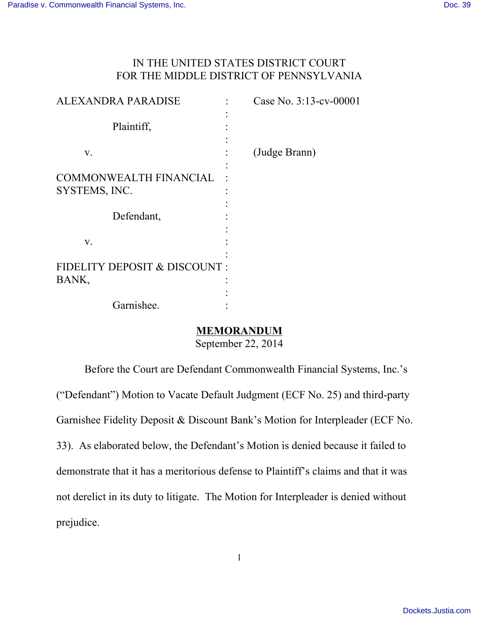## IN THE UNITED STATES DISTRICT COURT FOR THE MIDDLE DISTRICT OF PENNSYLVANIA

| LEXANDRA PARADISE                              | Case No. 3:13-cv-00001 |
|------------------------------------------------|------------------------|
| Plaintiff,                                     |                        |
| V.                                             | (Judge Brann)          |
| <b>COMMONWEALTH FINANCIAL</b><br>SYSTEMS, INC. |                        |
| Defendant,                                     |                        |
| V.                                             |                        |
| FIDELITY DEPOSIT & DISCOUNT:<br>BANK,          |                        |
| Garnishee.                                     |                        |

## **MEMORANDUM**

September 22, 2014

Before the Court are Defendant Commonwealth Financial Systems, Inc.'s ("Defendant") Motion to Vacate Default Judgment (ECF No. 25) and third-party Garnishee Fidelity Deposit & Discount Bank's Motion for Interpleader (ECF No. 33). As elaborated below, the Defendant's Motion is denied because it failed to demonstrate that it has a meritorious defense to Plaintiff's claims and that it was not derelict in its duty to litigate. The Motion for Interpleader is denied without prejudice.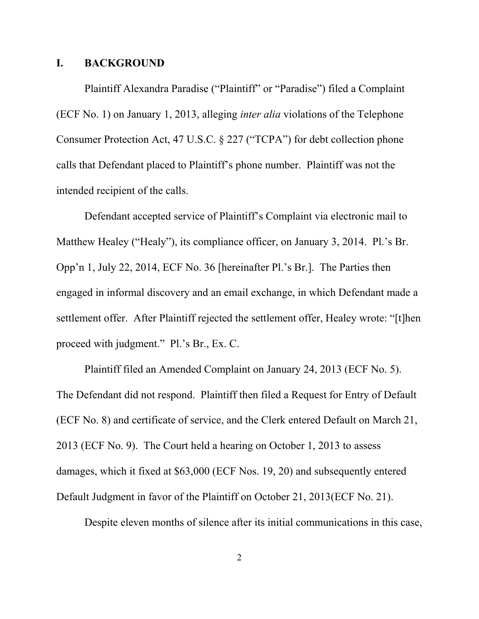#### **I. BACKGROUND**

Plaintiff Alexandra Paradise ("Plaintiff" or "Paradise") filed a Complaint (ECF No. 1) on January 1, 2013, alleging *inter alia* violations of the Telephone Consumer Protection Act, 47 U.S.C. § 227 ("TCPA") for debt collection phone calls that Defendant placed to Plaintiff's phone number. Plaintiff was not the intended recipient of the calls.

Defendant accepted service of Plaintiff's Complaint via electronic mail to Matthew Healey ("Healy"), its compliance officer, on January 3, 2014. Pl.'s Br. Opp'n 1, July 22, 2014, ECF No. 36 [hereinafter Pl.'s Br.]. The Parties then engaged in informal discovery and an email exchange, in which Defendant made a settlement offer. After Plaintiff rejected the settlement offer, Healey wrote: "[t]hen proceed with judgment." Pl.'s Br., Ex. C.

Plaintiff filed an Amended Complaint on January 24, 2013 (ECF No. 5). The Defendant did not respond. Plaintiff then filed a Request for Entry of Default (ECF No. 8) and certificate of service, and the Clerk entered Default on March 21, 2013 (ECF No. 9). The Court held a hearing on October 1, 2013 to assess damages, which it fixed at \$63,000 (ECF Nos. 19, 20) and subsequently entered Default Judgment in favor of the Plaintiff on October 21, 2013(ECF No. 21).

Despite eleven months of silence after its initial communications in this case,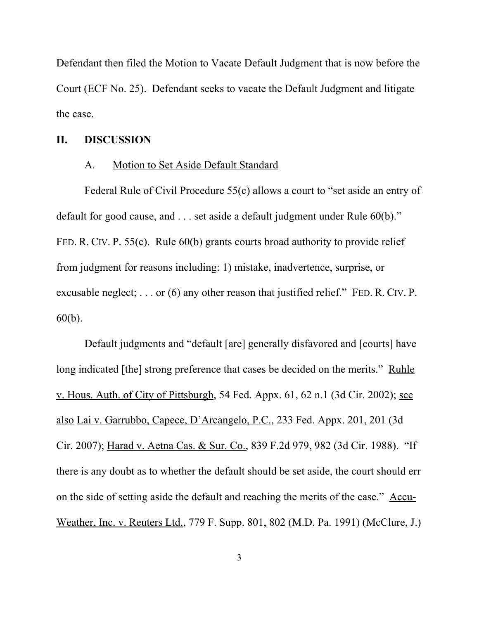Defendant then filed the Motion to Vacate Default Judgment that is now before the Court (ECF No. 25). Defendant seeks to vacate the Default Judgment and litigate the case.

#### **II. DISCUSSION**

#### A. Motion to Set Aside Default Standard

Federal Rule of Civil Procedure 55(c) allows a court to "set aside an entry of default for good cause, and . . . set aside a default judgment under Rule 60(b)." FED. R. CIV. P. 55(c). Rule 60(b) grants courts broad authority to provide relief from judgment for reasons including: 1) mistake, inadvertence, surprise, or excusable neglect; . . . or (6) any other reason that justified relief." FED. R. CIV. P. 60(b).

Default judgments and "default [are] generally disfavored and [courts] have long indicated [the] strong preference that cases be decided on the merits." Ruhle v. Hous. Auth. of City of Pittsburgh, 54 Fed. Appx. 61, 62 n.1 (3d Cir. 2002); see also Lai v. Garrubbo, Capece, D'Arcangelo, P.C., 233 Fed. Appx. 201, 201 (3d Cir. 2007); Harad v. Aetna Cas. & Sur. Co., 839 F.2d 979, 982 (3d Cir. 1988). "If there is any doubt as to whether the default should be set aside, the court should err on the side of setting aside the default and reaching the merits of the case." Accu-Weather, Inc. v. Reuters Ltd., 779 F. Supp. 801, 802 (M.D. Pa. 1991) (McClure, J.)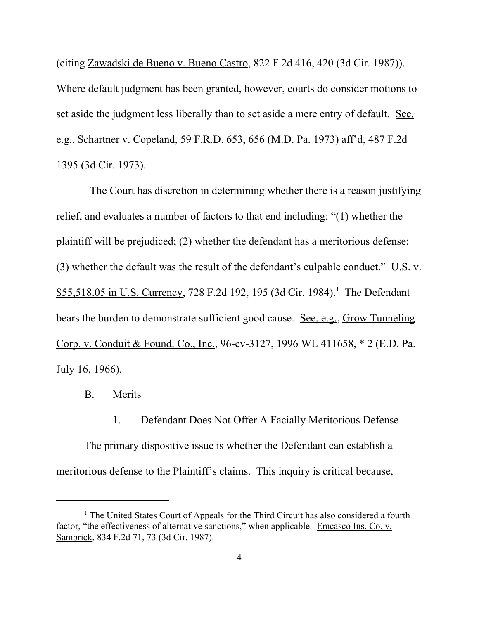(citing Zawadski de Bueno v. Bueno Castro, 822 F.2d 416, 420 (3d Cir. 1987)). Where default judgment has been granted, however, courts do consider motions to set aside the judgment less liberally than to set aside a mere entry of default. See, e.g., Schartner v. Copeland, 59 F.R.D. 653, 656 (M.D. Pa. 1973) aff'd, 487 F.2d 1395 (3d Cir. 1973).

 The Court has discretion in determining whether there is a reason justifying relief, and evaluates a number of factors to that end including: "(1) whether the plaintiff will be prejudiced; (2) whether the defendant has a meritorious defense; (3) whether the default was the result of the defendant's culpable conduct." U.S. v. \$55,518.05 in U.S. Currency, 728 F.2d 192, 195 (3d Cir. 1984).<sup>1</sup> The Defendant bears the burden to demonstrate sufficient good cause. See, e.g., Grow Tunneling Corp. v. Conduit & Found. Co., Inc., 96-cv-3127, 1996 WL 411658, \* 2 (E.D. Pa. July 16, 1966).

- B. Merits
	- 1. Defendant Does Not Offer A Facially Meritorious Defense

The primary dispositive issue is whether the Defendant can establish a meritorious defense to the Plaintiff's claims. This inquiry is critical because,

<sup>&</sup>lt;sup>1</sup> The United States Court of Appeals for the Third Circuit has also considered a fourth factor, "the effectiveness of alternative sanctions," when applicable. Emcasco Ins. Co. v. Sambrick, 834 F.2d 71, 73 (3d Cir. 1987).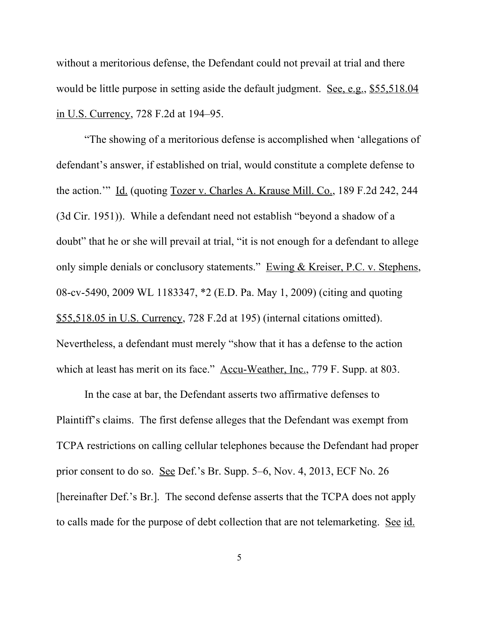without a meritorious defense, the Defendant could not prevail at trial and there would be little purpose in setting aside the default judgment. See, e.g., \$55,518.04 in U.S. Currency, 728 F.2d at 194–95.

"The showing of a meritorious defense is accomplished when 'allegations of defendant's answer, if established on trial, would constitute a complete defense to the action.'" Id. (quoting Tozer v. Charles A. Krause Mill. Co., 189 F.2d 242, 244 (3d Cir. 1951)). While a defendant need not establish "beyond a shadow of a doubt" that he or she will prevail at trial, "it is not enough for a defendant to allege only simple denials or conclusory statements." Ewing & Kreiser, P.C. v. Stephens, 08-cv-5490, 2009 WL 1183347, \*2 (E.D. Pa. May 1, 2009) (citing and quoting \$55,518.05 in U.S. Currency, 728 F.2d at 195) (internal citations omitted). Nevertheless, a defendant must merely "show that it has a defense to the action which at least has merit on its face." Accu-Weather, Inc., 779 F. Supp. at 803.

In the case at bar, the Defendant asserts two affirmative defenses to Plaintiff's claims. The first defense alleges that the Defendant was exempt from TCPA restrictions on calling cellular telephones because the Defendant had proper prior consent to do so. See Def.'s Br. Supp. 5–6, Nov. 4, 2013, ECF No. 26 [hereinafter Def.'s Br.]. The second defense asserts that the TCPA does not apply to calls made for the purpose of debt collection that are not telemarketing. See id.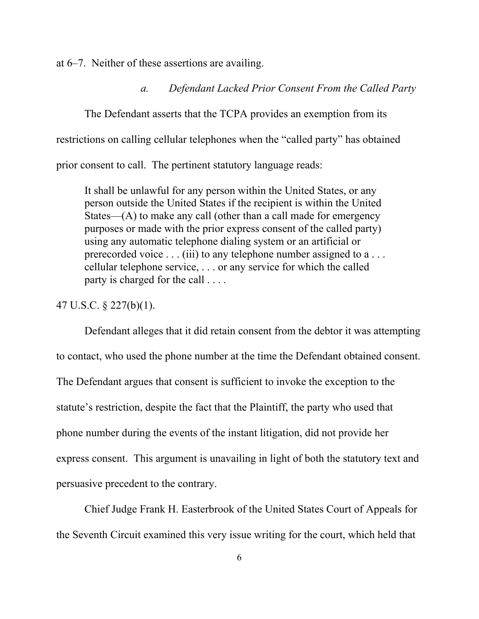at 6–7. Neither of these assertions are availing.

*a. Defendant Lacked Prior Consent From the Called Party*

The Defendant asserts that the TCPA provides an exemption from its restrictions on calling cellular telephones when the "called party" has obtained prior consent to call. The pertinent statutory language reads:

It shall be unlawful for any person within the United States, or any person outside the United States if the recipient is within the United States—(A) to make any call (other than a call made for emergency purposes or made with the prior express consent of the called party) using any automatic telephone dialing system or an artificial or prerecorded voice . . . (iii) to any telephone number assigned to a . . . cellular telephone service, . . . or any service for which the called party is charged for the call . . . .

### 47 U.S.C. § 227(b)(1).

Defendant alleges that it did retain consent from the debtor it was attempting to contact, who used the phone number at the time the Defendant obtained consent. The Defendant argues that consent is sufficient to invoke the exception to the statute's restriction, despite the fact that the Plaintiff, the party who used that phone number during the events of the instant litigation, did not provide her express consent. This argument is unavailing in light of both the statutory text and persuasive precedent to the contrary.

Chief Judge Frank H. Easterbrook of the United States Court of Appeals for the Seventh Circuit examined this very issue writing for the court, which held that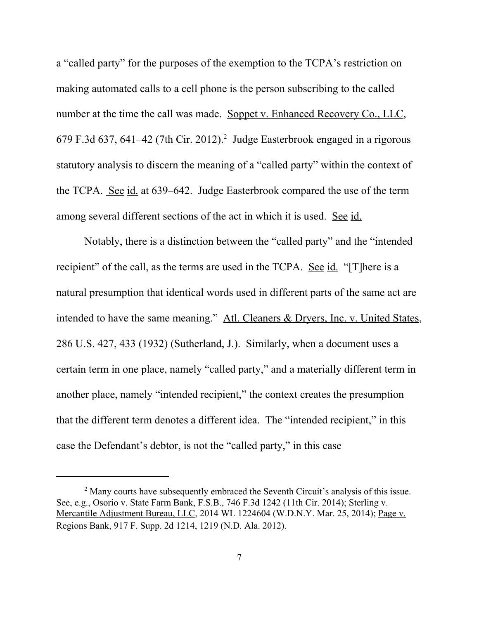a "called party" for the purposes of the exemption to the TCPA's restriction on making automated calls to a cell phone is the person subscribing to the called number at the time the call was made. Soppet v. Enhanced Recovery Co., LLC, 679 F.3d 637, 641–42 (7th Cir. 2012).<sup>2</sup> Judge Easterbrook engaged in a rigorous statutory analysis to discern the meaning of a "called party" within the context of the TCPA. See id. at 639–642. Judge Easterbrook compared the use of the term among several different sections of the act in which it is used. See id.

Notably, there is a distinction between the "called party" and the "intended recipient" of the call, as the terms are used in the TCPA. See id. "[T]here is a natural presumption that identical words used in different parts of the same act are intended to have the same meaning." Atl. Cleaners & Dryers, Inc. v. United States, 286 U.S. 427, 433 (1932) (Sutherland, J.). Similarly, when a document uses a certain term in one place, namely "called party," and a materially different term in another place, namely "intended recipient," the context creates the presumption that the different term denotes a different idea. The "intended recipient," in this case the Defendant's debtor, is not the "called party," in this case

<sup>&</sup>lt;sup>2</sup> Many courts have subsequently embraced the Seventh Circuit's analysis of this issue. See, e.g., Osorio v. State Farm Bank, F.S.B., 746 F.3d 1242 (11th Cir. 2014); Sterling v. Mercantile Adjustment Bureau, LLC, 2014 WL 1224604 (W.D.N.Y. Mar. 25, 2014); Page v. Regions Bank, 917 F. Supp. 2d 1214, 1219 (N.D. Ala. 2012).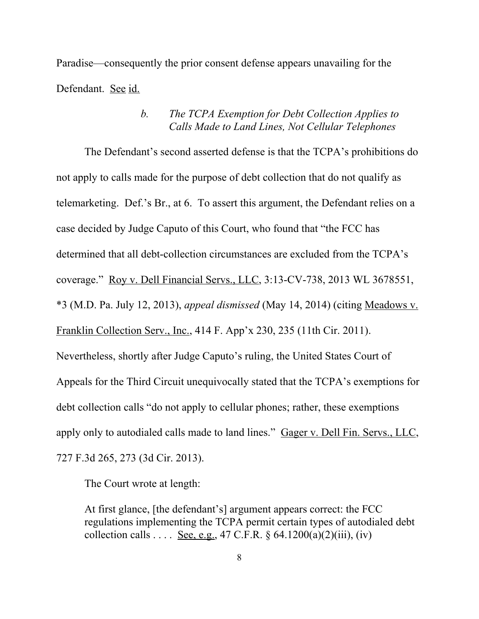Paradise—consequently the prior consent defense appears unavailing for the Defendant. See id.

## *b. The TCPA Exemption for Debt Collection Applies to Calls Made to Land Lines, Not Cellular Telephones*

The Defendant's second asserted defense is that the TCPA's prohibitions do not apply to calls made for the purpose of debt collection that do not qualify as telemarketing. Def.'s Br., at 6. To assert this argument, the Defendant relies on a case decided by Judge Caputo of this Court, who found that "the FCC has determined that all debt-collection circumstances are excluded from the TCPA's coverage." Roy v. Dell Financial Servs., LLC, 3:13-CV-738, 2013 WL 3678551, \*3 (M.D. Pa. July 12, 2013), *appeal dismissed* (May 14, 2014) (citing Meadows v. Franklin Collection Serv., Inc., 414 F. App'x 230, 235 (11th Cir. 2011). Nevertheless, shortly after Judge Caputo's ruling, the United States Court of Appeals for the Third Circuit unequivocally stated that the TCPA's exemptions for debt collection calls "do not apply to cellular phones; rather, these exemptions apply only to autodialed calls made to land lines." Gager v. Dell Fin. Servs., LLC, 727 F.3d 265, 273 (3d Cir. 2013).

The Court wrote at length:

At first glance, [the defendant's] argument appears correct: the FCC regulations implementing the TCPA permit certain types of autodialed debt collection calls  $\dots$  See, e.g., 47 C.F.R. § 64.1200(a)(2)(iii), (iv)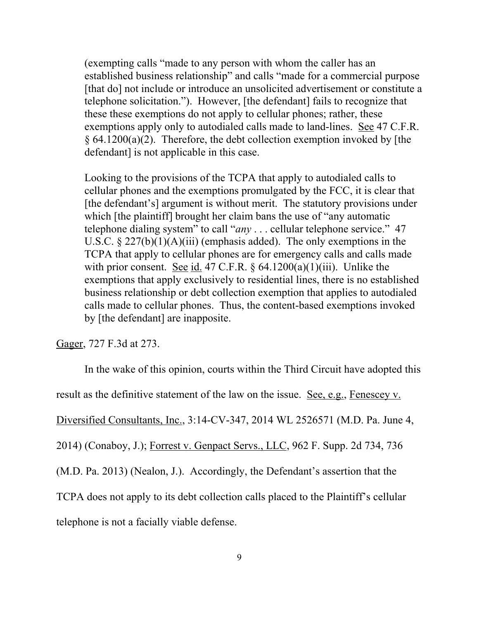(exempting calls "made to any person with whom the caller has an established business relationship" and calls "made for a commercial purpose [that do] not include or introduce an unsolicited advertisement or constitute a telephone solicitation."). However, [the defendant] fails to recognize that these these exemptions do not apply to cellular phones; rather, these exemptions apply only to autodialed calls made to land-lines. See 47 C.F.R.  $§ 64.1200(a)(2)$ . Therefore, the debt collection exemption invoked by [the defendant] is not applicable in this case.

Looking to the provisions of the TCPA that apply to autodialed calls to cellular phones and the exemptions promulgated by the FCC, it is clear that [the defendant's] argument is without merit. The statutory provisions under which [the plaintiff] brought her claim bans the use of "any automatic telephone dialing system" to call "*any* . . . cellular telephone service." 47 U.S.C.  $\S 227(b)(1)(A)(iii)$  (emphasis added). The only exemptions in the TCPA that apply to cellular phones are for emergency calls and calls made with prior consent. See id. 47 C.F.R.  $\S$  64.1200(a)(1)(iii). Unlike the exemptions that apply exclusively to residential lines, there is no established business relationship or debt collection exemption that applies to autodialed calls made to cellular phones. Thus, the content-based exemptions invoked by [the defendant] are inapposite.

Gager, 727 F.3d at 273.

In the wake of this opinion, courts within the Third Circuit have adopted this result as the definitive statement of the law on the issue. See, e.g., Fenescey v. Diversified Consultants, Inc., 3:14-CV-347, 2014 WL 2526571 (M.D. Pa. June 4, 2014) (Conaboy, J.); Forrest v. Genpact Servs., LLC, 962 F. Supp. 2d 734, 736 (M.D. Pa. 2013) (Nealon, J.). Accordingly, the Defendant's assertion that the TCPA does not apply to its debt collection calls placed to the Plaintiff's cellular telephone is not a facially viable defense.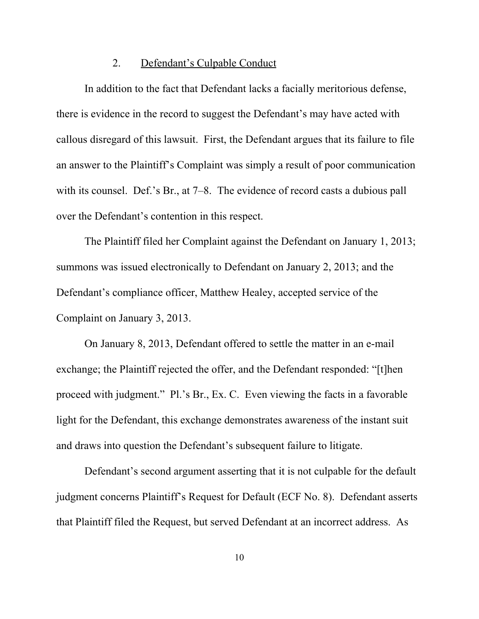#### 2. Defendant's Culpable Conduct

In addition to the fact that Defendant lacks a facially meritorious defense, there is evidence in the record to suggest the Defendant's may have acted with callous disregard of this lawsuit. First, the Defendant argues that its failure to file an answer to the Plaintiff's Complaint was simply a result of poor communication with its counsel. Def.'s Br., at 7–8. The evidence of record casts a dubious pall over the Defendant's contention in this respect.

The Plaintiff filed her Complaint against the Defendant on January 1, 2013; summons was issued electronically to Defendant on January 2, 2013; and the Defendant's compliance officer, Matthew Healey, accepted service of the Complaint on January 3, 2013.

On January 8, 2013, Defendant offered to settle the matter in an e-mail exchange; the Plaintiff rejected the offer, and the Defendant responded: "[t]hen proceed with judgment." Pl.'s Br., Ex. C. Even viewing the facts in a favorable light for the Defendant, this exchange demonstrates awareness of the instant suit and draws into question the Defendant's subsequent failure to litigate.

Defendant's second argument asserting that it is not culpable for the default judgment concerns Plaintiff's Request for Default (ECF No. 8). Defendant asserts that Plaintiff filed the Request, but served Defendant at an incorrect address. As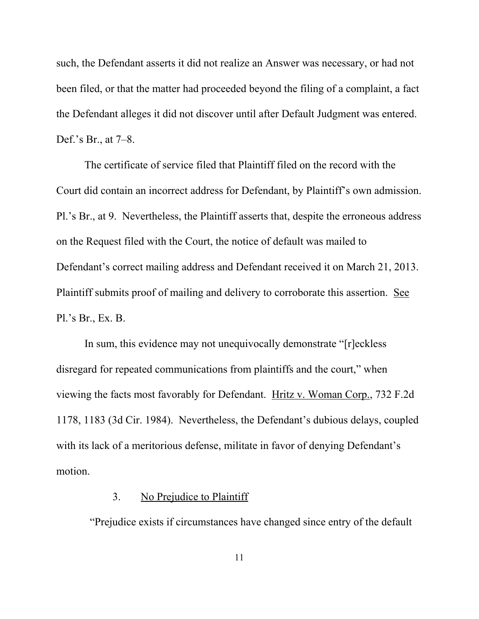such, the Defendant asserts it did not realize an Answer was necessary, or had not been filed, or that the matter had proceeded beyond the filing of a complaint, a fact the Defendant alleges it did not discover until after Default Judgment was entered. Def.'s Br., at 7–8.

The certificate of service filed that Plaintiff filed on the record with the Court did contain an incorrect address for Defendant, by Plaintiff's own admission. Pl.'s Br., at 9. Nevertheless, the Plaintiff asserts that, despite the erroneous address on the Request filed with the Court, the notice of default was mailed to Defendant's correct mailing address and Defendant received it on March 21, 2013. Plaintiff submits proof of mailing and delivery to corroborate this assertion. See Pl.'s Br., Ex. B.

In sum, this evidence may not unequivocally demonstrate "[r]eckless disregard for repeated communications from plaintiffs and the court," when viewing the facts most favorably for Defendant. Hritz v. Woman Corp., 732 F.2d 1178, 1183 (3d Cir. 1984). Nevertheless, the Defendant's dubious delays, coupled with its lack of a meritorious defense, militate in favor of denying Defendant's motion.

## 3. No Prejudice to Plaintiff

"Prejudice exists if circumstances have changed since entry of the default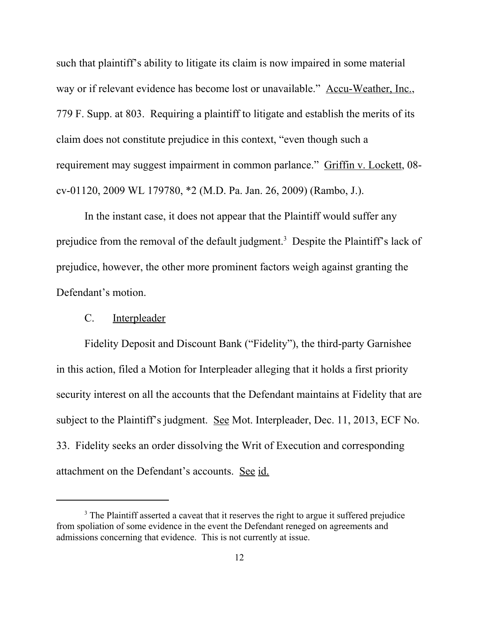such that plaintiff's ability to litigate its claim is now impaired in some material way or if relevant evidence has become lost or unavailable." Accu-Weather, Inc., 779 F. Supp. at 803. Requiring a plaintiff to litigate and establish the merits of its claim does not constitute prejudice in this context, "even though such a requirement may suggest impairment in common parlance." Griffin v. Lockett, 08 cv-01120, 2009 WL 179780, \*2 (M.D. Pa. Jan. 26, 2009) (Rambo, J.).

In the instant case, it does not appear that the Plaintiff would suffer any prejudice from the removal of the default judgment.<sup>3</sup> Despite the Plaintiff's lack of prejudice, however, the other more prominent factors weigh against granting the Defendant's motion.

#### C. Interpleader

Fidelity Deposit and Discount Bank ("Fidelity"), the third-party Garnishee in this action, filed a Motion for Interpleader alleging that it holds a first priority security interest on all the accounts that the Defendant maintains at Fidelity that are subject to the Plaintiff's judgment. See Mot. Interpleader, Dec. 11, 2013, ECF No. 33. Fidelity seeks an order dissolving the Writ of Execution and corresponding attachment on the Defendant's accounts. See id.

<sup>&</sup>lt;sup>3</sup> The Plaintiff asserted a caveat that it reserves the right to argue it suffered prejudice from spoliation of some evidence in the event the Defendant reneged on agreements and admissions concerning that evidence. This is not currently at issue.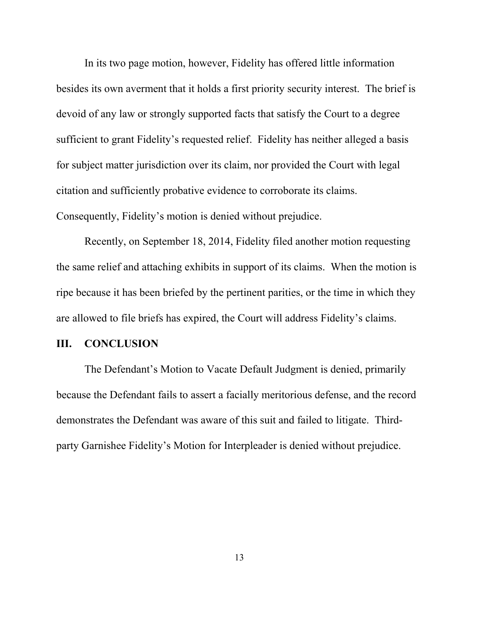In its two page motion, however, Fidelity has offered little information besides its own averment that it holds a first priority security interest. The brief is devoid of any law or strongly supported facts that satisfy the Court to a degree sufficient to grant Fidelity's requested relief. Fidelity has neither alleged a basis for subject matter jurisdiction over its claim, nor provided the Court with legal citation and sufficiently probative evidence to corroborate its claims. Consequently, Fidelity's motion is denied without prejudice.

Recently, on September 18, 2014, Fidelity filed another motion requesting the same relief and attaching exhibits in support of its claims. When the motion is ripe because it has been briefed by the pertinent parities, or the time in which they are allowed to file briefs has expired, the Court will address Fidelity's claims.

#### **III. CONCLUSION**

The Defendant's Motion to Vacate Default Judgment is denied, primarily because the Defendant fails to assert a facially meritorious defense, and the record demonstrates the Defendant was aware of this suit and failed to litigate. Thirdparty Garnishee Fidelity's Motion for Interpleader is denied without prejudice.